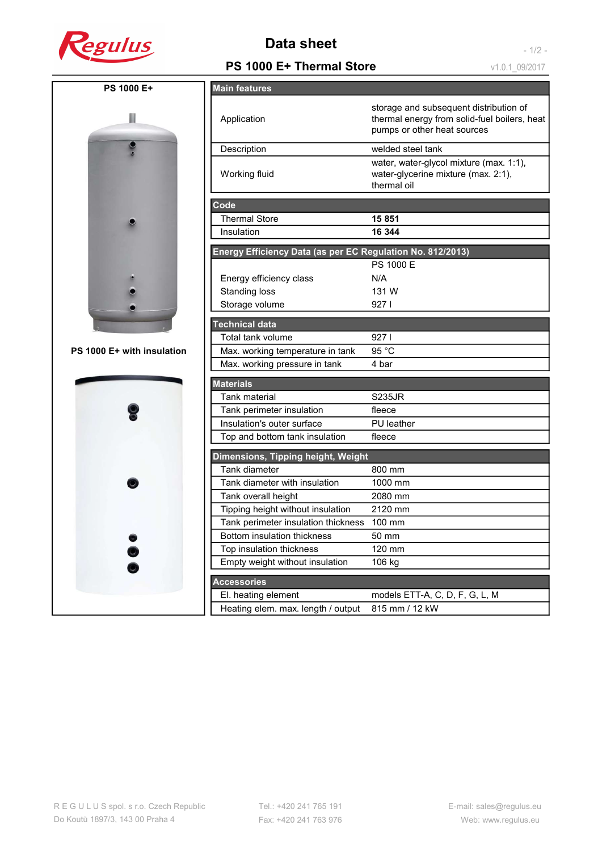

## Data sheet

- 1/2 v1.0.1\_09/2017

## PS 1000 E+ Thermal Store

| PS 1000 E+                 | <b>Main features</b>           |
|----------------------------|--------------------------------|
|                            | Application                    |
|                            | Description                    |
|                            | Working fluid                  |
|                            | Code                           |
|                            | <b>Thermal Store</b>           |
|                            | Insulation                     |
|                            | <b>Energy Efficier</b>         |
|                            | Energy efficie                 |
|                            | <b>Standing loss</b>           |
|                            | Storage volun                  |
|                            |                                |
|                            |                                |
|                            | <b>Technical data</b>          |
|                            | Total tank vol                 |
| PS 1000 E+ with insulation | Max. working                   |
|                            | Max. working                   |
|                            | <b>Materials</b>               |
|                            | <b>Tank material</b>           |
|                            | Tank perimete                  |
|                            | Insulation's ou                |
|                            | Top and botto                  |
|                            |                                |
|                            | Dimensions, Ti<br>Tank diamete |
|                            | Tank diamete                   |
|                            | Tank overall h                 |
|                            | Tipping height                 |
|                            | Tank perimete                  |

| II                                | Application                                                | storage and subsequent distribution of<br>thermal energy from solid-fuel boilers, heat<br>pumps or other heat sources |
|-----------------------------------|------------------------------------------------------------|-----------------------------------------------------------------------------------------------------------------------|
|                                   | Description                                                | welded steel tank                                                                                                     |
|                                   | Working fluid                                              | water, water-glycol mixture (max. 1:1),<br>water-glycerine mixture (max. 2:1),<br>thermal oil                         |
|                                   | Code                                                       |                                                                                                                       |
|                                   | <b>Thermal Store</b>                                       | 15851                                                                                                                 |
|                                   | Insulation                                                 | 16 344                                                                                                                |
|                                   | Energy Efficiency Data (as per EC Regulation No. 812/2013) |                                                                                                                       |
|                                   |                                                            | PS 1000 E                                                                                                             |
|                                   | Energy efficiency class                                    | N/A                                                                                                                   |
|                                   | <b>Standing loss</b>                                       | 131 W                                                                                                                 |
|                                   | Storage volume                                             | 9271                                                                                                                  |
|                                   | <b>Technical data</b>                                      |                                                                                                                       |
|                                   | Total tank volume                                          | 9271                                                                                                                  |
| <b>PS 1000 E+ with insulation</b> | Max. working temperature in tank                           | 95 $°C$                                                                                                               |
|                                   | Max. working pressure in tank                              | 4 bar                                                                                                                 |
|                                   | <b>Materials</b>                                           |                                                                                                                       |
|                                   | Tank material                                              | <b>S235JR</b>                                                                                                         |
|                                   | Tank perimeter insulation                                  | fleece                                                                                                                |
|                                   | Insulation's outer surface                                 | PU leather                                                                                                            |
|                                   | Top and bottom tank insulation                             | fleece                                                                                                                |
|                                   | Dimensions, Tipping height, Weight                         |                                                                                                                       |
|                                   | Tank diameter                                              | 800 mm                                                                                                                |
|                                   | Tank diameter with insulation                              | 1000 mm                                                                                                               |
|                                   | Tank overall height                                        | 2080 mm                                                                                                               |
|                                   | Tipping height without insulation                          | 2120 mm                                                                                                               |
|                                   | Tank perimeter insulation thickness                        | 100 mm                                                                                                                |
|                                   | Bottom insulation thickness                                | 50 mm                                                                                                                 |
|                                   | Top insulation thickness                                   | 120 mm                                                                                                                |
|                                   | Empty weight without insulation                            | 106 kg                                                                                                                |
|                                   | <b>Accessories</b>                                         |                                                                                                                       |
|                                   | El. heating element                                        | models ETT-A, C, D, F, G, L, M                                                                                        |
|                                   | Heating elem. max. length / output                         | 815 mm / 12 kW                                                                                                        |